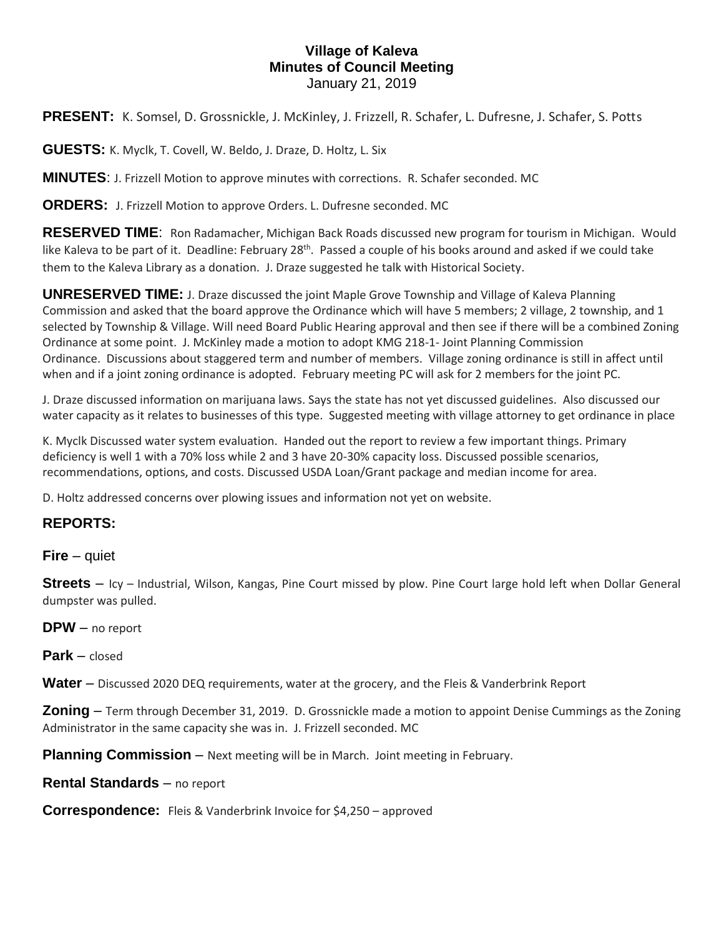## **Village of Kaleva Minutes of Council Meeting** January 21, 2019

**PRESENT:** K. Somsel, D. Grossnickle, J. McKinley, J. Frizzell, R. Schafer, L. Dufresne, J. Schafer, S. Potts

**GUESTS:** K. Myclk, T. Covell, W. Beldo, J. Draze, D. Holtz, L. Six

**MINUTES**: J. Frizzell Motion to approve minutes with corrections. R. Schafer seconded. MC

**ORDERS:** J. Frizzell Motion to approve Orders. L. Dufresne seconded. MC

**RESERVED TIME**: Ron Radamacher, Michigan Back Roads discussed new program for tourism in Michigan. Would like Kaleva to be part of it. Deadline: February 28<sup>th</sup>. Passed a couple of his books around and asked if we could take them to the Kaleva Library as a donation. J. Draze suggested he talk with Historical Society.

**UNRESERVED TIME:** J. Draze discussed the joint Maple Grove Township and Village of Kaleva Planning Commission and asked that the board approve the Ordinance which will have 5 members; 2 village, 2 township, and 1 selected by Township & Village. Will need Board Public Hearing approval and then see if there will be a combined Zoning Ordinance at some point. J. McKinley made a motion to adopt KMG 218-1- Joint Planning Commission Ordinance. Discussions about staggered term and number of members. Village zoning ordinance is still in affect until when and if a joint zoning ordinance is adopted. February meeting PC will ask for 2 members for the joint PC.

J. Draze discussed information on marijuana laws. Says the state has not yet discussed guidelines. Also discussed our water capacity as it relates to businesses of this type. Suggested meeting with village attorney to get ordinance in place

K. Myclk Discussed water system evaluation. Handed out the report to review a few important things. Primary deficiency is well 1 with a 70% loss while 2 and 3 have 20-30% capacity loss. Discussed possible scenarios, recommendations, options, and costs. Discussed USDA Loan/Grant package and median income for area.

D. Holtz addressed concerns over plowing issues and information not yet on website.

## **REPORTS:**

**Fire** – quiet

**Streets** – Icy – Industrial, Wilson, Kangas, Pine Court missed by plow. Pine Court large hold left when Dollar General dumpster was pulled.

**DPW** – no report

**Park** – closed

**Water** – Discussed 2020 DEQ requirements, water at the grocery, and the Fleis & Vanderbrink Report

**Zoning** – Term through December 31, 2019. D. Grossnickle made a motion to appoint Denise Cummings as the Zoning Administrator in the same capacity she was in. J. Frizzell seconded. MC

**Planning Commission** – Next meeting will be in March. Joint meeting in February.

**Rental Standards** – no report

**Correspondence:** Fleis & Vanderbrink Invoice for \$4,250 – approved